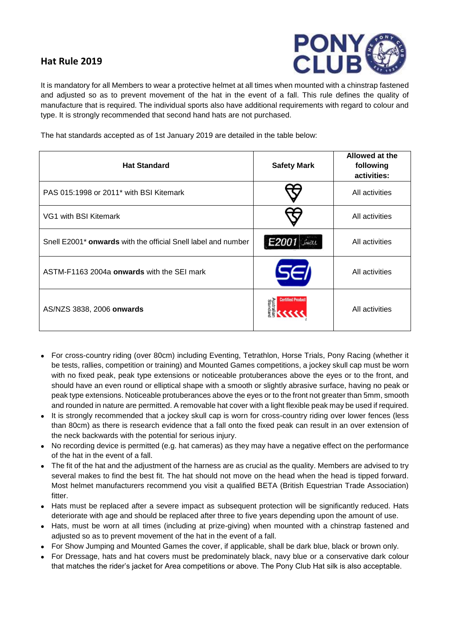## **Hat Rule 2019**



It is mandatory for all Members to wear a protective helmet at all times when mounted with a chinstrap fastened and adjusted so as to prevent movement of the hat in the event of a fall. This rule defines the quality of manufacture that is required. The individual sports also have additional requirements with regard to colour and type. It is strongly recommended that second hand hats are not purchased.

The hat standards accepted as of 1st January 2019 are detailed in the table below:

| <b>Hat Standard</b>                                                       | <b>Safety Mark</b>                               | Allowed at the<br>following<br>activities: |
|---------------------------------------------------------------------------|--------------------------------------------------|--------------------------------------------|
| PAS 015:1998 or 2011 <sup>*</sup> with BSI Kitemark                       |                                                  | All activities                             |
| VG1 with BSI Kitemark                                                     |                                                  | All activities                             |
| Snell E2001 <sup>*</sup> onwards with the official Snell label and number | E2001 Shell                                      | All activities                             |
| ASTM-F1163 2004a onwards with the SEI mark                                | SEI                                              | All activities                             |
| AS/NZS 3838, 2006 onwards                                                 | <b>Certified Produc</b><br>Australian<br>Standar | All activities                             |

- For cross-country riding (over 80cm) including Eventing, Tetrathlon, Horse Trials, Pony Racing (whether it be tests, rallies, competition or training) and Mounted Games competitions, a jockey skull cap must be worn with no fixed peak, peak type extensions or noticeable protuberances above the eyes or to the front, and should have an even round or elliptical shape with a smooth or slightly abrasive surface, having no peak or peak type extensions. Noticeable protuberances above the eyes or to the front not greater than 5mm, smooth and rounded in nature are permitted. A removable hat cover with a light flexible peak may be used if required.
- It is strongly recommended that a jockey skull cap is worn for cross-country riding over lower fences (less than 80cm) as there is research evidence that a fall onto the fixed peak can result in an over extension of the neck backwards with the potential for serious injury.
- No recording device is permitted (e.g. hat cameras) as they may have a negative effect on the performance of the hat in the event of a fall.
- The fit of the hat and the adjustment of the harness are as crucial as the quality. Members are advised to try several makes to find the best fit. The hat should not move on the head when the head is tipped forward. Most helmet manufacturers recommend you visit a qualified BETA (British Equestrian Trade Association) fitter.
- Hats must be replaced after a severe impact as subsequent protection will be significantly reduced. Hats deteriorate with age and should be replaced after three to five years depending upon the amount of use.
- Hats, must be worn at all times (including at prize-giving) when mounted with a chinstrap fastened and adjusted so as to prevent movement of the hat in the event of a fall.
- For Show Jumping and Mounted Games the cover, if applicable, shall be dark blue, black or brown only.
- For Dressage, hats and hat covers must be predominately black, navy blue or a conservative dark colour that matches the rider's jacket for Area competitions or above. The Pony Club Hat silk is also acceptable.